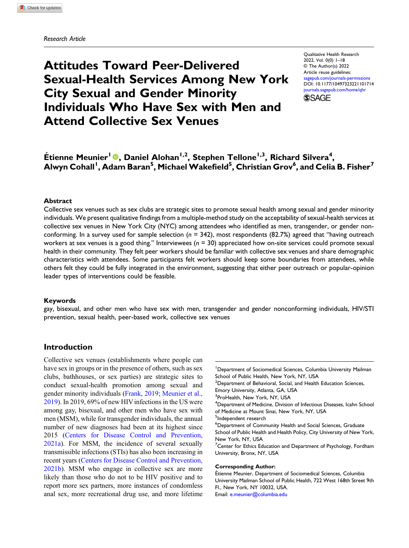# Attitudes Toward Peer-Delivered Sexual-Health Services Among New York City Sexual and Gender Minority Individuals Who Have Sex with Men and Attend Collective Sex Venues

Qualitative Health Research 2022, Vol. 0(0) 1–18 © The Author(s) 2022 Article reuse guidelines: [sagepub.com/journals-permissions](https://us.sagepub.com/en-us/journals-permissions) DOI: [10.1177/10497323221101714](https://doi.org/10.1177/10497323221101714) [journals.sagepub.com/home/qhr](https://journals.sagepub.com/home/qhr) **SSAGE** 

Étienne Meunier<sup>l</sup> ®, Daniel Alohan<sup>1,2</sup>, Stephen Tellone<sup>1,3</sup>, Richard Silvera<sup>4</sup>, Alwyn Cohall<sup>'</sup>, Adam Baran<sup>5</sup>, Michael Wakefield<sup>5</sup>, Christian Grov<sup>6</sup>, and Celia B. Fisher<sup>7</sup>

#### Abstract

Collective sex venues such as sex clubs are strategic sites to promote sexual health among sexual and gender minority individuals. We present qualitative findings from a multiple-method study on the acceptability of sexual-health services at collective sex venues in New York City (NYC) among attendees who identified as men, transgender, or gender nonconforming. In a survey used for sample selection ( $n = 342$ ), most respondents (82.7%) agreed that "having outreach workers at sex venues is a good thing." Interviewees ( $n = 30$ ) appreciated how on-site services could promote sexual health in their community. They felt peer workers should be familiar with collective sex venues and share demographic characteristics with attendees. Some participants felt workers should keep some boundaries from attendees, while others felt they could be fully integrated in the environment, suggesting that either peer outreach or popular-opinion leader types of interventions could be feasible.

#### Keywords

gay, bisexual, and other men who have sex with men, transgender and gender nonconforming individuals, HIV/STI prevention, sexual health, peer-based work, collective sex venues

## Introduction

Collective sex venues (establishments where people can have sex in groups or in the presence of others, such as sex clubs, bathhouses, or sex parties) are strategic sites to conduct sexual-health promotion among sexual and gender minority individuals ([Frank, 2019;](#page-14-0) [Meunier et al.,](#page-15-0) [2019\)](#page-15-0). In 2019, 69% of new HIV infections in the US were among gay, bisexual, and other men who have sex with men (MSM), while for transgender individuals, the annual number of new diagnoses had been at its highest since 2015 ([Centers for Disease Control and Prevention,](#page-14-1) [2021a](#page-14-1)). For MSM, the incidence of several sexually transmissible infections (STIs) has also been increasing in recent years ([Centers for Disease Control and Prevention,](#page-14-2) [2021b\)](#page-14-2). MSM who engage in collective sex are more likely than those who do not to be HIV positive and to report more sex partners, more instances of condomless anal sex, more recreational drug use, and more lifetime

<sup>1</sup>Department of Sociomedical Sciences, Columbia University Mailman School of Public Health, New York, NY, USA <sup>2</sup>Department of Behavioral, Social, and Health Education Sciences, Emory University, Atlanta, GA, USA <sup>3</sup> ProHealth, New York, NY, USA <sup>4</sup>Department of Medicine, Division of Infectious Diseases, Icahn School of Medicine at Mount Sinai, New York, NY, USA <sup>5</sup>Independent research <sup>6</sup>Department of Community Health and Social Sciences, Graduate School of Public Health and Health Policy, City University of New York, New York, NY, USA <sup>7</sup> Center for Ethics Education and Department of Psychology, Fordham University, Bronx, NY, USA Corresponding Author:

Etienne Meunier, Department of Sociomedical Sciences, Columbia ´ University Mailman School of Public Health, 722 West 168th Street 9th Fl., New York, NY 10032, USA. Email: [e.meunier@columbia.edu](mailto:e.meunier@columbia.edu)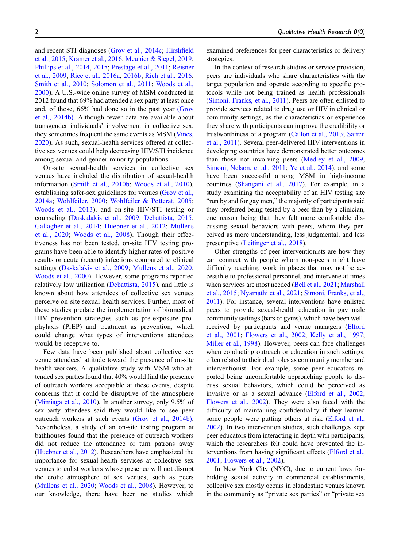and recent STI diagnoses [\(Grov et al., 2014c;](#page-14-3) [Hirsh](#page-14-4)field [et al., 2015;](#page-14-4) [Kramer et al., 2016](#page-15-1); [Meunier & Siegel, 2019](#page-15-2); [Phillips et al., 2014](#page-16-0), [2015](#page-15-3); [Prestage et al., 2011](#page-16-1); [Reisner](#page-16-2) [et al., 2009](#page-16-2); [Rice et al., 2016a](#page-16-3), [2016b;](#page-16-4) [Rich et al., 2016](#page-16-5); [Smith et al., 2010](#page-16-6); [Solomon et al., 2011;](#page-16-7) [Woods et al.,](#page-16-8) [2000\)](#page-16-8). A U.S.-wide online survey of MSM conducted in 2012 found that 69% had attended a sex party at least once and, of those, 66% had done so in the past year [\(Grov](#page-14-5) [et al., 2014b\)](#page-14-5). Although fewer data are available about transgender individuals' involvement in collective sex, they sometimes frequent the same events as MSM [\(Vines,](#page-16-9) [2020\)](#page-16-9). As such, sexual-health services offered at collective sex venues could help decreasing HIV/STI incidence among sexual and gender minority populations.

On-site sexual-health services in collective sex venues have included the distribution of sexual-health information ([Smith et al., 2010b](#page-16-10); [Woods et al., 2010](#page-16-11)), establishing safer-sex guidelines for venues ([Grov et al.,](#page-14-6) [2014a;](#page-14-6) [Wohlfeiler, 2000;](#page-16-12) [Wohlfeiler & Potterat, 2005](#page-16-13); [Woods et al., 2013](#page-17-0)), and on-site HIV/STI testing or counseling ([Daskalakis et al., 2009](#page-14-7); [Debattista, 2015](#page-14-8); [Gallagher et al., 2014;](#page-14-9) [Huebner et al., 2012](#page-14-10); [Mullens](#page-15-4) [et al., 2020](#page-15-4); [Woods et al., 2008\)](#page-16-14). Though their effectiveness has not been tested, on-site HIV testing programs have been able to identify higher rates of positive results or acute (recent) infections compared to clinical settings ([Daskalakis et al., 2009;](#page-14-7) [Mullens et al., 2020](#page-15-4); [Woods et al., 2000](#page-16-8)). However, some programs reported relatively low utilization [\(Debattista, 2015\)](#page-14-8), and little is known about how attendees of collective sex venues perceive on-site sexual-health services. Further, most of these studies predate the implementation of biomedical HIV prevention strategies such as pre-exposure prophylaxis (PrEP) and treatment as prevention, which could change what types of interventions attendees would be receptive to.

Few data have been published about collective sex venue attendees' attitude toward the presence of on-site health workers. A qualitative study with MSM who attended sex parties found that 40% would find the presence of outreach workers acceptable at these events, despite concerns that it could be disruptive of the atmosphere [\(Mimiaga et al., 2010](#page-15-5)). In another survey, only 9.5% of sex-party attendees said they would like to see peer outreach workers at such events [\(Grov et al., 2014b\).](#page-14-5) Nevertheless, a study of an on-site testing program at bathhouses found that the presence of outreach workers did not reduce the attendance or turn patrons away [\(Huebner et al., 2012\)](#page-14-10). Researchers have emphasized the importance for sexual-health services at collective sex venues to enlist workers whose presence will not disrupt the erotic atmosphere of sex venues, such as peers [\(Mullens et al., 2020](#page-15-4); [Woods et al., 2008](#page-16-14)). However, to our knowledge, there have been no studies which examined preferences for peer characteristics or delivery strategies.

In the context of research studies or service provision, peers are individuals who share characteristics with the target population and operate according to specific protocols while not being trained as health professionals [\(Simoni, Franks, et al., 2011\)](#page-16-15). Peers are often enlisted to provide services related to drug use or HIV in clinical or community settings, as the characteristics or experience they share with participants can improve the credibility or trustworthiness of a program ([Callon et al., 2013;](#page-14-11) [Safren](#page-16-16) [et al., 2011\)](#page-16-16). Several peer-delivered HIV interventions in developing countries have demonstrated better outcomes than those not involving peers [\(Medley et al., 2009;](#page-15-6) [Simoni, Nelson, et al., 2011;](#page-16-17) [Ye et al., 2014\)](#page-17-1), and some have been successful among MSM in high-income countries [\(Shangani et al., 2017\)](#page-16-18). For example, in a study examining the acceptability of an HIV testing site "run by and for gay men," the majority of participants said they preferred being tested by a peer than by a clinician, one reason being that they felt more comfortable discussing sexual behaviors with peers, whom they perceived as more understanding, less judgmental, and less prescriptive [\(Leitinger et al., 2018](#page-15-7)).

Other strengths of peer interventionists are how they can connect with people whom non-peers might have difficulty reaching, work in places that may not be accessible to professional personnel, and intervene at times when services are most needed ([Bell et al., 2021](#page-14-12); [Marshall](#page-15-8) [et al., 2015](#page-15-8); [Nyamathi et al., 2021;](#page-15-9) [Simoni, Franks, et al.,](#page-16-15) [2011\)](#page-16-15). For instance, several interventions have enlisted peers to provide sexual-health education in gay male community settings (bars or gyms), which have been wellreceived by participants and venue managers [\(Elford](#page-14-13) [et al., 2001;](#page-14-13) [Flowers et al., 2002;](#page-14-14) [Kelly et al., 1997;](#page-14-15) [Miller et al., 1998\)](#page-15-10). However, peers can face challenges when conducting outreach or education in such settings, often related to their dual roles as community member and interventionist. For example, some peer educators reported being uncomfortable approaching people to discuss sexual behaviors, which could be perceived as invasive or as a sexual advance [\(Elford et al., 2002;](#page-14-16) [Flowers et al., 2002\)](#page-14-14). They were also faced with the difficulty of maintaining confidentiality if they learned some people were putting others at risk [\(Elford et al.,](#page-14-16) [2002](#page-14-16)). In two intervention studies, such challenges kept peer educators from interacting in depth with participants, which the researchers felt could have prevented the interventions from having significant effects ([Elford et al.,](#page-14-13) [2001](#page-14-13); [Flowers et al., 2002\)](#page-14-14).

In New York City (NYC), due to current laws forbidding sexual activity in commercial establishments, collective sex mostly occurs in clandestine venues known in the community as "private sex parties" or "private sex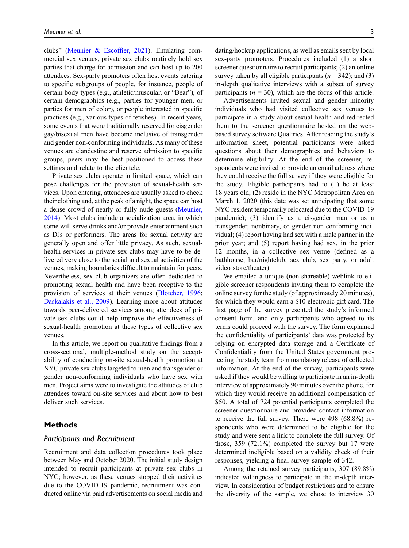clubs" ([Meunier & Escof](#page-15-11)fier, 2021). Emulating commercial sex venues, private sex clubs routinely hold sex parties that charge for admission and can host up to 200 attendees. Sex-party promoters often host events catering to specific subgroups of people, for instance, people of certain body types (e.g., athletic/muscular, or "Bear"), of certain demographics (e.g., parties for younger men, or parties for men of color), or people interested in specific practices (e.g., various types of fetishes). In recent years, some events that were traditionally reserved for cisgender gay/bisexual men have become inclusive of transgender and gender non-conforming individuals. As many of these venues are clandestine and reserve admission to specific groups, peers may be best positioned to access these settings and relate to the clientele.

Private sex clubs operate in limited space, which can pose challenges for the provision of sexual-health services. Upon entering, attendees are usually asked to check their clothing and, at the peak of a night, the space can host a dense crowd of nearly or fully nude guests [\(Meunier,](#page-15-12) [2014\)](#page-15-12). Most clubs include a socialization area, in which some will serve drinks and/or provide entertainment such as DJs or performers. The areas for sexual activity are generally open and offer little privacy. As such, sexualhealth services in private sex clubs may have to be delivered very close to the social and sexual activities of the venues, making boundaries difficult to maintain for peers. Nevertheless, sex club organizers are often dedicated to promoting sexual health and have been receptive to the provision of services at their venues [\(Blotcher, 1996](#page-14-17); [Daskalakis et al., 2009](#page-14-7)). Learning more about attitudes towards peer-delivered services among attendees of private sex clubs could help improve the effectiveness of sexual-health promotion at these types of collective sex venues.

In this article, we report on qualitative findings from a cross-sectional, multiple-method study on the acceptability of conducting on-site sexual-health promotion at NYC private sex clubs targeted to men and transgender or gender non-conforming individuals who have sex with men. Project aims were to investigate the attitudes of club attendees toward on-site services and about how to best deliver such services.

# Methods

## Participants and Recruitment

Recruitment and data collection procedures took place between May and October 2020. The initial study design intended to recruit participants at private sex clubs in NYC; however, as these venues stopped their activities due to the COVID-19 pandemic, recruitment was conducted online via paid advertisements on social media and

dating/hookup applications, as well as emails sent by local sex-party promoters. Procedures included (1) a short screener questionnaire to recruit participants; (2) an online survey taken by all eligible participants ( $n = 342$ ); and (3) in-depth qualitative interviews with a subset of survey participants ( $n = 30$ ), which are the focus of this article.

Advertisements invited sexual and gender minority individuals who had visited collective sex venues to participate in a study about sexual health and redirected them to the screener questionnaire hosted on the webbased survey software Qualtrics. After reading the study's information sheet, potential participants were asked questions about their demographics and behaviors to determine eligibility. At the end of the screener, respondents were invited to provide an email address where they could receive the full survey if they were eligible for the study. Eligible participants had to (1) be at least 18 years old; (2) reside in the NYC Metropolitan Area on March 1, 2020 (this date was set anticipating that some NYC resident temporarily relocated due to the COVID-19 pandemic); (3) identify as a cisgender man or as a transgender, nonbinary, or gender non-conforming individual; (4) report having had sex with a male partner in the prior year; and (5) report having had sex, in the prior 12 months, in a collective sex venue (defined as a bathhouse, bar/nightclub, sex club, sex party, or adult video store/theater).

We emailed a unique (non-shareable) weblink to eligible screener respondents inviting them to complete the online survey for the study (of approximately 20 minutes), for which they would earn a \$10 electronic gift card. The first page of the survey presented the study's informed consent form, and only participants who agreed to its terms could proceed with the survey. The form explained the confidentiality of participants' data was protected by relying on encrypted data storage and a Certificate of Confidentiality from the United States government protecting the study team from mandatory release of collected information. At the end of the survey, participants were asked if they would be willing to participate in an in-depth interview of approximately 90 minutes over the phone, for which they would receive an additional compensation of \$50. A total of 724 potential participants completed the screener questionnaire and provided contact information to receive the full survey. There were 498 (68.8%) respondents who were determined to be eligible for the study and were sent a link to complete the full survey. Of those, 359 (72.1%) completed the survey but 17 were determined ineligible based on a validity check of their responses, yielding a final survey sample of 342.

Among the retained survey participants, 307 (89.8%) indicated willingness to participate in the in-depth interview. In consideration of budget restrictions and to ensure the diversity of the sample, we chose to interview 30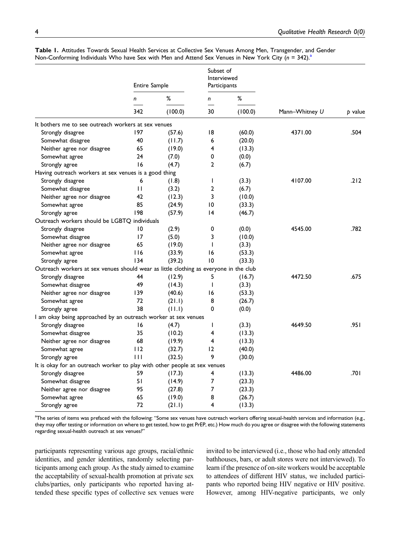|                                                                                       | Entire Sample |              | Subset of<br>Interviewed<br>Participants |                 |                |         |
|---------------------------------------------------------------------------------------|---------------|--------------|------------------------------------------|-----------------|----------------|---------|
|                                                                                       | n<br>342      | %<br>(100.0) | n<br>30                                  | $\%$<br>(100.0) | Mann-Whitney U | p value |
|                                                                                       |               |              |                                          |                 |                |         |
| It bothers me to see outreach workers at sex venues                                   |               |              |                                          |                 |                |         |
| Strongly disagree                                                                     | 197           | (57.6)       | 18                                       | (60.0)          | 4371.00        | .504    |
| Somewhat disagree                                                                     | 40            | (11.7)       | 6                                        | (20.0)          |                |         |
| Neither agree nor disagree                                                            | 65            | (19.0)       | 4                                        | (13.3)          |                |         |
| Somewhat agree                                                                        | 24            | (7.0)        | 0                                        | (0.0)           |                |         |
| Strongly agree                                                                        | 16            | (4.7)        | $\overline{2}$                           | (6.7)           |                |         |
| Having outreach workers at sex venues is a good thing                                 |               |              |                                          |                 |                |         |
| Strongly disagree                                                                     | 6             | (1.8)        | T                                        | (3.3)           | 4107.00        | .212    |
| Somewhat disagree                                                                     | $\mathbf{H}$  | (3.2)        | $\overline{2}$                           | (6.7)           |                |         |
| Neither agree nor disagree                                                            | 42            | (12.3)       | 3                                        | (10.0)          |                |         |
| Somewhat agree                                                                        | 85            | (24.9)       | $\overline{10}$                          | (33.3)          |                |         |
| Strongly agree                                                                        | 198           | (57.9)       | 14                                       | (46.7)          |                |         |
| Outreach workers should be LGBTQ individuals                                          |               |              |                                          |                 |                |         |
| Strongly disagree                                                                     | 10            | (2.9)        | 0                                        | (0.0)           | 4545.00        | .782    |
| Somewhat disagree                                                                     | 17            | (5.0)        | 3                                        | (10.0)          |                |         |
| Neither agree nor disagree                                                            | 65            | (19.0)       | $\mathbf{I}$                             | (3.3)           |                |         |
| Somewhat agree                                                                        | 116           | (33.9)       | 16                                       | (53.3)          |                |         |
| Strongly agree                                                                        | 134           | (39.2)       | 10                                       | (33.3)          |                |         |
| Outreach workers at sex venues should wear as little clothing as everyone in the club |               |              |                                          |                 |                |         |
| Strongly disagree                                                                     | 44            | (12.9)       | 5                                        | (16.7)          | 4472.50        | .675    |
| Somewhat disagree                                                                     | 49            | (14.3)       | $\mathbf{I}$                             | (3.3)           |                |         |
| Neither agree nor disagree                                                            | 139           | (40.6)       | 16                                       | (53.3)          |                |         |
| Somewhat agree                                                                        | 72            | (21.1)       | 8                                        | (26.7)          |                |         |
| Strongly agree                                                                        | 38            | (11.1)       | 0                                        | (0.0)           |                |         |
| I am okay being approached by an outreach worker at sex venues                        |               |              |                                          |                 |                |         |
| Strongly disagree                                                                     | 16            | (4.7)        | $\mathbf{I}$                             | (3.3)           | 4649.50        | ا 95.   |
| Somewhat disagree                                                                     | 35            | (10.2)       | 4                                        | (13.3)          |                |         |
| Neither agree nor disagree                                                            | 68            | (19.9)       | 4                                        | (13.3)          |                |         |
| Somewhat agree                                                                        | 112           | (32.7)       | 12                                       | (40.0)          |                |         |
| Strongly agree                                                                        | $\perp$       | (32.5)       | 9                                        | (30.0)          |                |         |
| It is okay for an outreach worker to play with other people at sex venues             |               |              |                                          |                 |                |         |
| Strongly disagree                                                                     | 59            | (17.3)       | 4                                        | (13.3)          | 4486.00        | ا 70.   |
| Somewhat disagree                                                                     | 51            | (14.9)       | 7                                        | (23.3)          |                |         |
| Neither agree nor disagree                                                            | 95            | (27.8)       | 7                                        | (23.3)          |                |         |
| Somewhat agree                                                                        | 65            | (19.0)       | 8                                        | (26.7)          |                |         |
| Strongly agree                                                                        | 72            | (21.1)       | 4                                        | (13.3)          |                |         |

<span id="page-3-1"></span>Table 1. Attitudes Towards Sexual Health Services at Collective Sex Venues Among Men, Transgender, and Gender Non-Conforming Individu[a](#page-3-0)ls Who have Sex with Men and Attend Sex Venues in New York City ( $n = 342$ ).<sup>a</sup>

<span id="page-3-0"></span><sup>a</sup>The series of items was prefaced with the following: "Some sex venues have outreach workers offering sexual-health services and information (e.g., they may offer testing or information on where to get tested, how to get PrEP, etc.) How much do you agree or disagree with the following statements regarding sexual-health outreach at sex venues?"

participants representing various age groups, racial/ethnic identities, and gender identities, randomly selecting participants among each group. As the study aimed to examine the acceptability of sexual-health promotion at private sex clubs/parties, only participants who reported having attended these specific types of collective sex venues were invited to be interviewed (i.e., those who had only attended bathhouses, bars, or adult stores were not interviewed). To learn if the presence of on-site workers would be acceptable to attendees of different HIV status, we included participants who reported being HIV negative or HIV positive. However, among HIV-negative participants, we only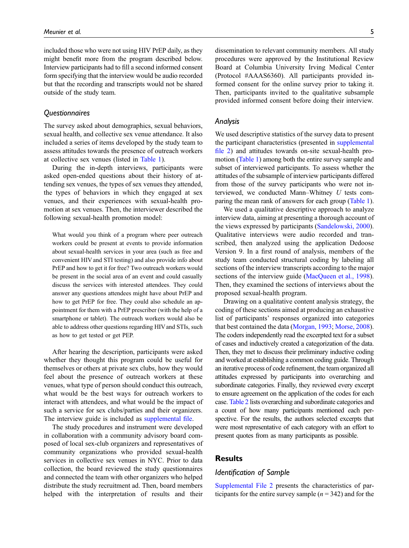included those who were not using HIV PrEP daily, as they might benefit more from the program described below. Interview participants had to fill a second informed consent form specifying that the interview would be audio recorded but that the recording and transcripts would not be shared outside of the study team.

#### **Ouestionnaires**

The survey asked about demographics, sexual behaviors, sexual health, and collective sex venue attendance. It also included a series of items developed by the study team to assess attitudes towards the presence of outreach workers at collective sex venues (listed in [Table 1](#page-3-1)).

During the in-depth interviews, participants were asked open-ended questions about their history of attending sex venues, the types of sex venues they attended, the types of behaviors in which they engaged at sex venues, and their experiences with sexual-health promotion at sex venues. Then, the interviewer described the following sexual-health promotion model:

What would you think of a program where peer outreach workers could be present at events to provide information about sexual-health services in your area (such as free and convenient HIV and STI testing) and also provide info about PrEP and how to get it for free? Two outreach workers would be present in the social area of an event and could casually discuss the services with interested attendees. They could answer any questions attendees might have about PrEP and how to get PrEP for free. They could also schedule an appointment for them with a PrEP prescriber (with the help of a smartphone or tablet). The outreach workers would also be able to address other questions regarding HIV and STIs, such as how to get tested or get PEP.

After hearing the description, participants were asked whether they thought this program could be useful for themselves or others at private sex clubs, how they would feel about the presence of outreach workers at these venues, what type of person should conduct this outreach, what would be the best ways for outreach workers to interact with attendees, and what would be the impact of such a service for sex clubs/parties and their organizers. The interview guide is included as [supplemental](https://journals.sagepub.com/doi/suppl/10.1177/10497323221101714) file.

The study procedures and instrument were developed in collaboration with a community advisory board composed of local sex-club organizers and representatives of community organizations who provided sexual-health services in collective sex venues in NYC. Prior to data collection, the board reviewed the study questionnaires and connected the team with other organizers who helped distribute the study recruitment ad. Then, board members helped with the interpretation of results and their

dissemination to relevant community members. All study procedures were approved by the Institutional Review Board at Columbia University Irving Medical Center (Protocol #AAAS6360). All participants provided informed consent for the online survey prior to taking it. Then, participants invited to the qualitative subsample provided informed consent before doing their interview.

#### Analysis

We used descriptive statistics of the survey data to present the participant characteristics (presented in [supplemental](https://journals.sagepub.com/doi/suppl/10.1177/10497323221101714) fi[le 2\)](https://journals.sagepub.com/doi/suppl/10.1177/10497323221101714) and attitudes towards on-site sexual-health pro-motion ([Table 1\)](#page-3-1) among both the entire survey sample and subset of interviewed participants. To assess whether the attitudes of the subsample of interview participants differed from those of the survey participants who were not interviewed, we conducted Mann–Whitney U tests com-paring the mean rank of answers for each group [\(Table 1](#page-3-1)).

We used a qualitative descriptive approach to analyze interview data, aiming at presenting a thorough account of the views expressed by participants ([Sandelowski, 2000](#page-16-19)). Qualitative interviews were audio recorded and transcribed, then analyzed using the application Dedoose Version 9. In a first round of analysis, members of the study team conducted structural coding by labeling all sections of the interview transcripts according to the major sections of the interview guide ([MacQueen et al., 1998](#page-15-13)). Then, they examined the sections of interviews about the proposed sexual-health program.

Drawing on a qualitative content analysis strategy, the coding of these sections aimed at producing an exhaustive list of participants' responses organized into categories that best contained the data ([Morgan, 1993;](#page-15-14) [Morse, 2008](#page-15-15)). The coders independently read the excerpted text for a subset of cases and inductively created a categorization of the data. Then, they met to discuss their preliminary inductive coding and worked at establishing a common coding guide. Through an iterative process of code refinement, the team organized all attitudes expressed by participants into overarching and subordinate categories. Finally, they reviewed every excerpt to ensure agreement on the application of the codes for each case. [Table 2](#page-5-0) lists overarching and subordinate categories and a count of how many participants mentioned each perspective. For the results, the authors selected excerpts that were most representative of each category with an effort to present quotes from as many participants as possible.

# **Results**

# Identification of Sample

[Supplemental File 2](https://journals.sagepub.com/doi/suppl/10.1177/10497323221101714) presents the characteristics of participants for the entire survey sample  $(n = 342)$  and for the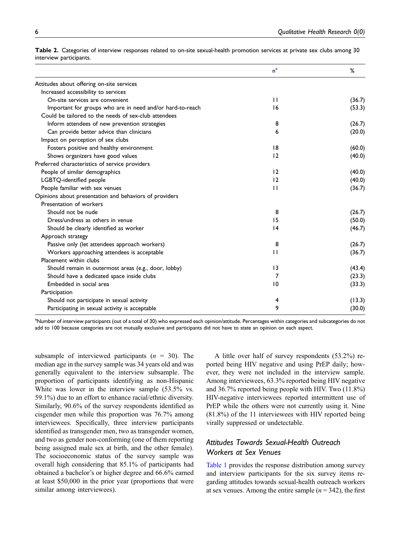|                                                           | n <sup>a</sup>  | %      |
|-----------------------------------------------------------|-----------------|--------|
| Attitudes about offering on-site services                 |                 |        |
| Increased accessibility to services                       |                 |        |
| On-site services are convenient                           | $\mathbf{H}$    | (36.7) |
| Important for groups who are in need and/or hard-to-reach | 16              | (53.3) |
| Could be tailored to the needs of sex-club attendees      |                 |        |
| Inform attendees of new prevention strategies             | 8               | (26.7) |
| Can provide better advice than clinicians                 | 6               | (20.0) |
| Impact on perception of sex clubs                         |                 |        |
| Fosters positive and healthy environment                  | 8               | (60.0) |
| Shows organizers have good values                         | 12              | (40.0) |
| Preferred characteristics of service providers            |                 |        |
| People of similar demographics                            | 12              | (40.0) |
| LGBTQ-identified people                                   | 12              | (40.0) |
| People familiar with sex venues                           | $\mathbf{H}$    | (36.7) |
| Opinions about presentation and behaviors of providers    |                 |        |
| Presentation of workers                                   |                 |        |
| Should not be nude                                        | 8               | (26.7) |
| Dress/undress as others in venue                          | 15              | (50.0) |
| Should be clearly identified as worker                    | $\overline{14}$ | (46.7) |
| Approach strategy                                         |                 |        |
| Passive only (let attendees approach workers)             | 8               | (26.7) |
| Workers approaching attendees is acceptable               | $\mathbf{H}$    | (36.7) |
| Placement within clubs                                    |                 |        |
| Should remain in outermost areas (e.g., door, lobby)      | $\overline{13}$ | (43.4) |
| Should have a dedicated space inside clubs                | 7               | (23.3) |
| Embedded in social area                                   | 10              | (33.3) |
| Participation                                             |                 |        |
| Should not participate in sexual activity                 | 4               | (13.3) |
| Participating in sexual activity is acceptable            | 9               | (30.0) |

<span id="page-5-0"></span>Table 2. Categories of interview responses related to on-site sexual-health promotion services at private sex clubs among 30 interview participants.

<span id="page-5-1"></span><sup>a</sup>Number of interview participants (out of a total of 30) who expressed each opinion/attitude. Percentages within categories and subcategories do not add to 100 because categories are not mutually exclusive and participants did not have to state an opinion on each aspect.

subsample of interviewed participants  $(n = 30)$ . The median age in the survey sample was 34 years old and was generally equivalent to the interview subsample. The proportion of participants identifying as non-Hispanic White was lower in the interview sample (53.5% vs. 59.1%) due to an effort to enhance racial/ethnic diversity. Similarly, 90.6% of the survey respondents identified as cisgender men while this proportion was 76.7% among interviewees. Specifically, three interview participants identified as transgender men, two as transgender women, and two as gender non-conforming (one of them reporting being assigned male sex at birth, and the other female). The socioeconomic status of the survey sample was overall high considering that 85.1% of participants had obtained a bachelor's or higher degree and 66.6% earned at least \$50,000 in the prior year (proportions that were similar among interviewees).

A little over half of survey respondents (53.2%) reported being HIV negative and using PrEP daily; however, they were not included in the interview sample. Among interviewees, 63.3% reported being HIV negative and 36.7% reported being people with HIV. Two (11.8%) HIV-negative interviewees reported intermittent use of PrEP while the others were not currently using it. Nine (81.8%) of the 11 interviewees with HIV reported being virally suppressed or undetectable.

# Attitudes Towards Sexual-Health Outreach Workers at Sex Venues

[Table 1](#page-3-1) provides the response distribution among survey and interview participants for the six survey items regarding attitudes towards sexual-health outreach workers at sex venues. Among the entire sample  $(n = 342)$ , the first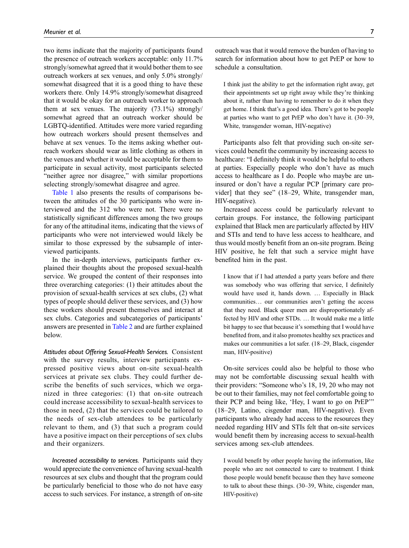two items indicate that the majority of participants found the presence of outreach workers acceptable: only 11.7% strongly/somewhat agreed that it would bother them to see outreach workers at sex venues, and only 5.0% strongly/ somewhat disagreed that it is a good thing to have these workers there. Only 14.9% strongly/somewhat disagreed that it would be okay for an outreach worker to approach them at sex venues. The majority (73.1%) strongly/ somewhat agreed that an outreach worker should be LGBTQ-identified. Attitudes were more varied regarding how outreach workers should present themselves and behave at sex venues. To the items asking whether outreach workers should wear as little clothing as others in the venues and whether it would be acceptable for them to participate in sexual activity, most participants selected "neither agree nor disagree," with similar proportions selecting strongly/somewhat disagree and agree.

[Table 1](#page-3-1) also presents the results of comparisons between the attitudes of the 30 participants who were interviewed and the 312 who were not. There were no statistically significant differences among the two groups for any of the attitudinal items, indicating that the views of participants who were not interviewed would likely be similar to those expressed by the subsample of interviewed participants.

In the in-depth interviews, participants further explained their thoughts about the proposed sexual-health service. We grouped the content of their responses into three overarching categories: (1) their attitudes about the provision of sexual-health services at sex clubs, (2) what types of people should deliver these services, and (3) how these workers should present themselves and interact at sex clubs. Categories and subcategories of participants' answers are presented in [Table 2](#page-5-0) and are further explained below.

Attitudes about Offering Sexual-Health Services. Consistent with the survey results, interview participants expressed positive views about on-site sexual-health services at private sex clubs. They could further describe the benefits of such services, which we organized in three categories: (1) that on-site outreach could increase accessibility to sexual-health services to those in need, (2) that the services could be tailored to the needs of sex-club attendees to be particularly relevant to them, and (3) that such a program could have a positive impact on their perceptions of sex clubs and their organizers.

Increased accessibility to services. Participants said they would appreciate the convenience of having sexual-health resources at sex clubs and thought that the program could be particularly beneficial to those who do not have easy access to such services. For instance, a strength of on-site outreach was that it would remove the burden of having to search for information about how to get PrEP or how to schedule a consultation.

I think just the ability to get the information right away, get their appointments set up right away while they're thinking about it, rather than having to remember to do it when they get home. I think that's a good idea. There's got to be people at parties who want to get PrEP who don't have it. (30–39, White, transgender woman, HIV-negative)

Participants also felt that providing such on-site services could benefit the community by increasing access to healthcare: "I definitely think it would be helpful to others at parties. Especially people who don't have as much access to healthcare as I do. People who maybe are uninsured or don't have a regular PCP [primary care provider] that they see" (18–29, White, transgender man, HIV-negative).

Increased access could be particularly relevant to certain groups. For instance, the following participant explained that Black men are particularly affected by HIV and STIs and tend to have less access to healthcare, and thus would mostly benefit from an on-site program. Being HIV positive, he felt that such a service might have benefited him in the past.

I know that if I had attended a party years before and there was somebody who was offering that service, I definitely would have used it, hands down. … Especially in Black communities… our communities aren't getting the access that they need. Black queer men are disproportionately affected by HIV and other STDs. … It would make me a little bit happy to see that because it's something that I would have benefited from, and it also promotes healthy sex practices and makes our communities a lot safer. (18–29, Black, cisgender man, HIV-positive)

On-site services could also be helpful to those who may not be comfortable discussing sexual health with their providers: "Someone who's 18, 19, 20 who may not be out to their families, may not feel comfortable going to their PCP and being like, 'Hey, I want to go on PrEP'" (18–29, Latino, cisgender man, HIV-negative). Even participants who already had access to the resources they needed regarding HIV and STIs felt that on-site services would benefit them by increasing access to sexual-health services among sex-club attendees.

I would benefit by other people having the information, like people who are not connected to care to treatment. I think those people would benefit because then they have someone to talk to about these things. (30–39, White, cisgender man, HIV-positive)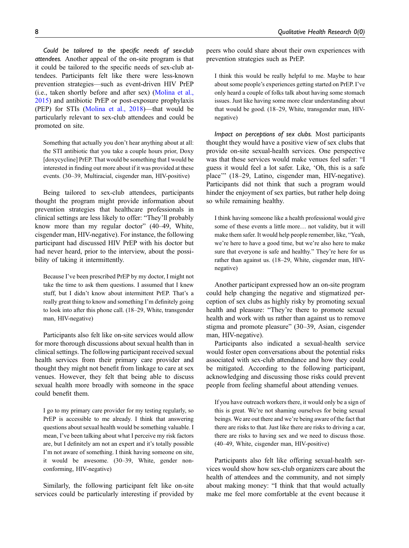Could be tailored to the specific needs of sex-club attendees. Another appeal of the on-site program is that it could be tailored to the specific needs of sex-club attendees. Participants felt like there were less-known prevention strategies—such as event-driven HIV PrEP (i.e., taken shortly before and after sex) [\(Molina et al.,](#page-15-16) [2015\)](#page-15-16) and antibiotic PrEP or post-exposure prophylaxis (PEP) for STIs ([Molina et al., 2018\)](#page-15-17)—that would be particularly relevant to sex-club attendees and could be promoted on site.

Something that actually you don't hear anything about at all: the STI antibiotic that you take a couple hours prior, Doxy [doxycycline] PrEP. That would be something that I would be interested in finding out more about if it was provided at these events. (30–39, Multiracial, cisgender man, HIV-positive)

Being tailored to sex-club attendees, participants thought the program might provide information about prevention strategies that healthcare professionals in clinical settings are less likely to offer: "They'll probably know more than my regular doctor" (40–49, White, cisgender man, HIV-negative). For instance, the following participant had discussed HIV PrEP with his doctor but had never heard, prior to the interview, about the possibility of taking it intermittently.

Because I've been prescribed PrEP by my doctor, I might not take the time to ask them questions. I assumed that I knew stuff, but I didn't know about intermittent PrEP. That's a really great thing to know and something I'm definitely going to look into after this phone call. (18–29, White, transgender man, HIV-negative)

Participants also felt like on-site services would allow for more thorough discussions about sexual health than in clinical settings. The following participant received sexual health services from their primary care provider and thought they might not benefit from linkage to care at sex venues. However, they felt that being able to discuss sexual health more broadly with someone in the space could benefit them.

I go to my primary care provider for my testing regularly, so PrEP is accessible to me already. I think that answering questions about sexual health would be something valuable. I mean, I've been talking about what I perceive my risk factors are, but I definitely am not an expert and it's totally possible I'm not aware of something. I think having someone on site, it would be awesome. (30–39, White, gender nonconforming, HIV-negative)

Similarly, the following participant felt like on-site services could be particularly interesting if provided by peers who could share about their own experiences with prevention strategies such as PrEP.

I think this would be really helpful to me. Maybe to hear about some people's experiences getting started on PrEP. I've only heard a couple of folks talk about having some stomach issues. Just like having some more clear understanding about that would be good. (18–29, White, transgender man, HIVnegative)

Impact on perceptions of sex clubs. Most participants thought they would have a positive view of sex clubs that provide on-site sexual-health services. One perspective was that these services would make venues feel safer: "I guess it would feel a lot safer. Like, 'Oh, this is a safe place'" (18–29, Latino, cisgender man, HIV-negative). Participants did not think that such a program would hinder the enjoyment of sex parties, but rather help doing so while remaining healthy.

I think having someone like a health professional would give some of these events a little more… not validity, but it will make them safer. It would help people remember, like, "Yeah, we're here to have a good time, but we're also here to make sure that everyone is safe and healthy." They're here for us rather than against us. (18–29, White, cisgender man, HIVnegative)

Another participant expressed how an on-site program could help changing the negative and stigmatized perception of sex clubs as highly risky by promoting sexual health and pleasure: "They're there to promote sexual health and work with us rather than against us to remove stigma and promote pleasure" (30–39, Asian, cisgender man, HIV-negative).

Participants also indicated a sexual-health service would foster open conversations about the potential risks associated with sex-club attendance and how they could be mitigated. According to the following participant, acknowledging and discussing those risks could prevent people from feeling shameful about attending venues.

If you have outreach workers there, it would only be a sign of this is great. We're not shaming ourselves for being sexual beings. We are out there and we're being aware of the fact that there are risks to that. Just like there are risks to driving a car, there are risks to having sex and we need to discuss those. (40–49, White, cisgender man, HIV-positive)

Participants also felt like offering sexual-health services would show how sex-club organizers care about the health of attendees and the community, and not simply about making money: "I think that that would actually make me feel more comfortable at the event because it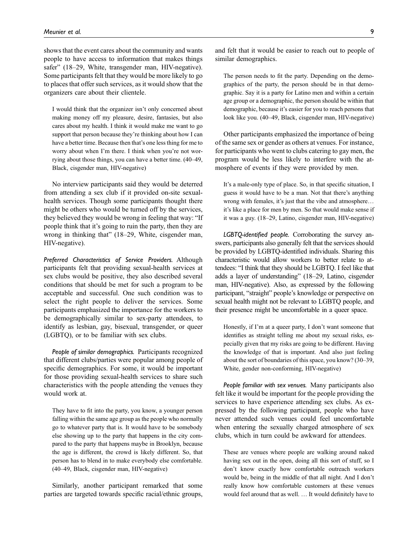shows that the event cares about the community and wants people to have access to information that makes things safer" (18–29, White, transgender man, HIV-negative). Some participants felt that they would be more likely to go to places that offer such services, as it would show that the organizers care about their clientele.

I would think that the organizer isn't only concerned about making money off my pleasure, desire, fantasies, but also cares about my health. I think it would make me want to go support that person because they're thinking about how I can have a better time. Because then that's one less thing for me to worry about when I'm there. I think when you're not worrying about those things, you can have a better time. (40–49, Black, cisgender man, HIV-negative)

No interview participants said they would be deterred from attending a sex club if it provided on-site sexualhealth services. Though some participants thought there might be others who would be turned off by the services, they believed they would be wrong in feeling that way: "If people think that it's going to ruin the party, then they are wrong in thinking that" (18–29, White, cisgender man, HIV-negative).

Preferred Characteristics of Service Providers. Although participants felt that providing sexual-health services at sex clubs would be positive, they also described several conditions that should be met for such a program to be acceptable and successful. One such condition was to select the right people to deliver the services. Some participants emphasized the importance for the workers to be demographically similar to sex-party attendees, to identify as lesbian, gay, bisexual, transgender, or queer (LGBTQ), or to be familiar with sex clubs.

People of similar demographics. Participants recognized that different clubs/parties were popular among people of specific demographics. For some, it would be important for those providing sexual-health services to share such characteristics with the people attending the venues they would work at.

They have to fit into the party, you know, a younger person falling within the same age group as the people who normally go to whatever party that is. It would have to be somebody else showing up to the party that happens in the city compared to the party that happens maybe in Brooklyn, because the age is different, the crowd is likely different. So, that person has to blend in to make everybody else comfortable. (40–49, Black, cisgender man, HIV-negative)

Similarly, another participant remarked that some parties are targeted towards specific racial/ethnic groups,

and felt that it would be easier to reach out to people of similar demographics.

The person needs to fit the party. Depending on the demographics of the party, the person should be in that demographic. Say it is a party for Latino men and within a certain age group or a demographic, the person should be within that demographic, because it's easier for you to reach persons that look like you. (40–49, Black, cisgender man, HIV-negative)

Other participants emphasized the importance of being of the same sex or gender as others at venues. For instance, for participants who went to clubs catering to gay men, the program would be less likely to interfere with the atmosphere of events if they were provided by men.

It's a male-only type of place. So, in that specific situation, I guess it would have to be a man. Not that there's anything wrong with females, it's just that the vibe and atmosphere… it's like a place for men by men. So that would make sense if it was a guy. (18–29, Latino, cisgender man, HIV-negative)

LGBTQ-identified people. Corroborating the survey answers, participants also generally felt that the services should be provided by LGBTQ-identified individuals. Sharing this characteristic would allow workers to better relate to attendees: "I think that they should be LGBTQ. I feel like that adds a layer of understanding" (18–29, Latino, cisgender man, HIV-negative). Also, as expressed by the following participant, "straight" people's knowledge or perspective on sexual health might not be relevant to LGBTQ people, and their presence might be uncomfortable in a queer space.

Honestly, if I'm at a queer party, I don't want someone that identifies as straight telling me about my sexual risks, especially given that my risks are going to be different. Having the knowledge of that is important. And also just feeling about the sort of boundaries of this space, you know? (30–39, White, gender non-conforming, HIV-negative)

People familiar with sex venues. Many participants also felt like it would be important for the people providing the services to have experience attending sex clubs. As expressed by the following participant, people who have never attended such venues could feel uncomfortable when entering the sexually charged atmosphere of sex clubs, which in turn could be awkward for attendees.

These are venues where people are walking around naked having sex out in the open, doing all this sort of stuff, so I don't know exactly how comfortable outreach workers would be, being in the middle of that all night. And I don't really know how comfortable customers at these venues would feel around that as well. … It would definitely have to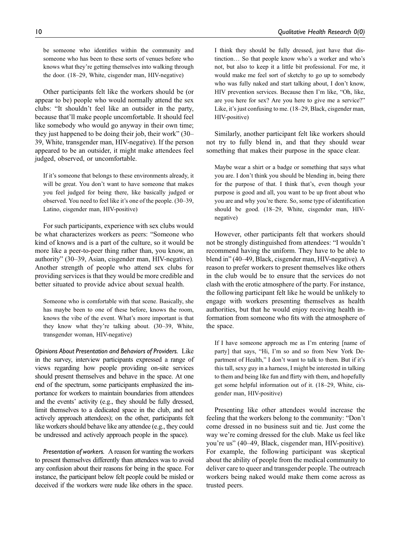be someone who identifies within the community and someone who has been to these sorts of venues before who knows what they're getting themselves into walking through the door. (18–29, White, cisgender man, HIV-negative)

Other participants felt like the workers should be (or appear to be) people who would normally attend the sex clubs: "It shouldn't feel like an outsider in the party, because that'll make people uncomfortable. It should feel like somebody who would go anyway in their own time; they just happened to be doing their job, their work" (30– 39, White, transgender man, HIV-negative). If the person appeared to be an outsider, it might make attendees feel judged, observed, or uncomfortable.

If it's someone that belongs to these environments already, it will be great. You don't want to have someone that makes you feel judged for being there, like basically judged or observed. You need to feel like it's one of the people. (30–39, Latino, cisgender man, HIV-positive)

For such participants, experience with sex clubs would be what characterizes workers as peers: "Someone who kind of knows and is a part of the culture, so it would be more like a peer-to-peer thing rather than, you know, an authority" (30–39, Asian, cisgender man, HIV-negative). Another strength of people who attend sex clubs for providing services is that they would be more credible and better situated to provide advice about sexual health.

Someone who is comfortable with that scene. Basically, she has maybe been to one of these before, knows the room, knows the vibe of the event. What's more important is that they know what they're talking about. (30–39, White, transgender woman, HIV-negative)

Opinions About Presentation and Behaviors of Providers. Like in the survey, interview participants expressed a range of views regarding how people providing on-site services should present themselves and behave in the space. At one end of the spectrum, some participants emphasized the importance for workers to maintain boundaries from attendees and the events' activity (e.g., they should be fully dressed, limit themselves to a dedicated space in the club, and not actively approach attendees); on the other, participants felt like workers should behave like any attendee (e.g., they could be undressed and actively approach people in the space).

Presentation of workers. A reason for wanting the workers to present themselves differently than attendees was to avoid any confusion about their reasons for being in the space. For instance, the participant below felt people could be misled or deceived if the workers were nude like others in the space.

I think they should be fully dressed, just have that distinction… So that people know who's a worker and who's not, but also to keep it a little bit professional. For me, it would make me feel sort of sketchy to go up to somebody who was fully naked and start talking about, I don't know, HIV prevention services. Because then I'm like, "Oh, like, are you here for sex? Are you here to give me a service?" Like, it's just confusing to me. (18–29, Black, cisgender man, HIV-positive)

Similarly, another participant felt like workers should not try to fully blend in, and that they should wear something that makes their purpose in the space clear.

Maybe wear a shirt or a badge or something that says what you are. I don't think you should be blending in, being there for the purpose of that. I think that's, even though your purpose is good and all, you want to be up front about who you are and why you're there. So, some type of identification should be good. (18–29, White, cisgender man, HIVnegative)

However, other participants felt that workers should not be strongly distinguished from attendees: "I wouldn't recommend having the uniform. They have to be able to blend in" (40–49, Black, cisgender man, HIV-negative). A reason to prefer workers to present themselves like others in the club would be to ensure that the services do not clash with the erotic atmosphere of the party. For instance, the following participant felt like he would be unlikely to engage with workers presenting themselves as health authorities, but that he would enjoy receiving health information from someone who fits with the atmosphere of the space.

If I have someone approach me as I'm entering [name of party] that says, "Hi, I'm so and so from New York Department of Health," I don't want to talk to them. But if it's this tall, sexy guy in a harness, I might be interested in talking to them and being like fun and flirty with them, and hopefully get some helpful information out of it. (18–29, White, cisgender man, HIV-positive)

Presenting like other attendees would increase the feeling that the workers belong to the community: "Don't come dressed in no business suit and tie. Just come the way we're coming dressed for the club. Make us feel like you're us" (40–49, Black, cisgender man, HIV-positive). For example, the following participant was skeptical about the ability of people from the medical community to deliver care to queer and transgender people. The outreach workers being naked would make them come across as trusted peers.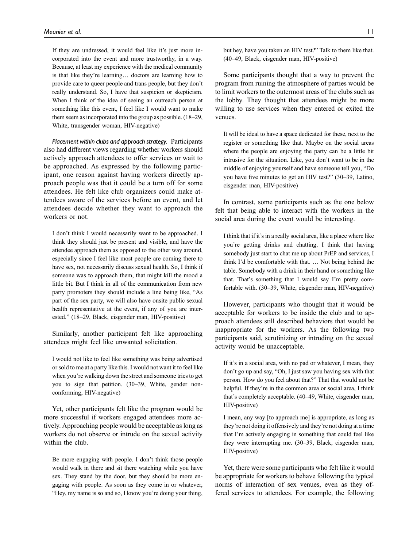If they are undressed, it would feel like it's just more incorporated into the event and more trustworthy, in a way. Because, at least my experience with the medical community is that like they're learning… doctors are learning how to provide care to queer people and trans people, but they don't really understand. So, I have that suspicion or skepticism. When I think of the idea of seeing an outreach person at something like this event, I feel like I would want to make them seem as incorporated into the group as possible. (18–29, White, transgender woman, HIV-negative)

Placement within clubs and approach strategy. Participants also had different views regarding whether workers should actively approach attendees to offer services or wait to be approached. As expressed by the following participant, one reason against having workers directly approach people was that it could be a turn off for some attendees. He felt like club organizers could make attendees aware of the services before an event, and let attendees decide whether they want to approach the workers or not.

I don't think I would necessarily want to be approached. I think they should just be present and visible, and have the attendee approach them as opposed to the other way around, especially since I feel like most people are coming there to have sex, not necessarily discuss sexual health. So, I think if someone was to approach them, that might kill the mood a little bit. But I think in all of the communication from new party promoters they should include a line being like, "As part of the sex party, we will also have onsite public sexual health representative at the event, if any of you are interested." (18–29, Black, cisgender man, HIV-positive)

Similarly, another participant felt like approaching attendees might feel like unwanted solicitation.

I would not like to feel like something was being advertised or sold to me at a party like this. I would not want it to feel like when you're walking down the street and someone tries to get you to sign that petition. (30–39, White, gender nonconforming, HIV-negative)

Yet, other participants felt like the program would be more successful if workers engaged attendees more actively. Approaching people would be acceptable as long as workers do not observe or intrude on the sexual activity within the club.

Be more engaging with people. I don't think those people would walk in there and sit there watching while you have sex. They stand by the door, but they should be more engaging with people. As soon as they come in or whatever, "Hey, my name is so and so, I know you're doing your thing,

but hey, have you taken an HIV test?" Talk to them like that. (40–49, Black, cisgender man, HIV-positive)

Some participants thought that a way to prevent the program from ruining the atmosphere of parties would be to limit workers to the outermost areas of the clubs such as the lobby. They thought that attendees might be more willing to use services when they entered or exited the venues.

It will be ideal to have a space dedicated for these, next to the register or something like that. Maybe on the social areas where the people are enjoying the party can be a little bit intrusive for the situation. Like, you don't want to be in the middle of enjoying yourself and have someone tell you, "Do you have five minutes to get an HIV test?" (30–39, Latino, cisgender man, HIV-positive)

In contrast, some participants such as the one below felt that being able to interact with the workers in the social area during the event would be interesting.

I think that if it's in a really social area, like a place where like you're getting drinks and chatting, I think that having somebody just start to chat me up about PrEP and services, I think I'd be comfortable with that. … Not being behind the table. Somebody with a drink in their hand or something like that. That's something that I would say I'm pretty comfortable with. (30–39, White, cisgender man, HIV-negative)

However, participants who thought that it would be acceptable for workers to be inside the club and to approach attendees still described behaviors that would be inappropriate for the workers. As the following two participants said, scrutinizing or intruding on the sexual activity would be unacceptable.

If it's in a social area, with no pad or whatever, I mean, they don't go up and say, "Oh, I just saw you having sex with that person. How do you feel about that?" That that would not be helpful. If they're in the common area or social area, I think that's completely acceptable. (40–49, White, cisgender man, HIV-positive)

I mean, any way [to approach me] is appropriate, as long as they're not doing it offensively and they're not doing at a time that I'm actively engaging in something that could feel like they were interrupting me. (30–39, Black, cisgender man, HIV-positive)

Yet, there were some participants who felt like it would be appropriate for workers to behave following the typical norms of interaction of sex venues, even as they offered services to attendees. For example, the following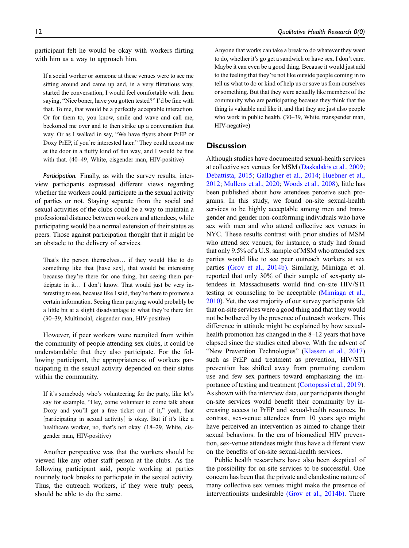participant felt he would be okay with workers flirting with him as a way to approach him.

If a social worker or someone at these venues were to see me sitting around and came up and, in a very flirtatious way, started the conversation, I would feel comfortable with them saying, "Nice boner, have you gotten tested?" I'd be fine with that. To me, that would be a perfectly acceptable interaction. Or for them to, you know, smile and wave and call me, beckoned me over and to then strike up a conversation that way. Or as I walked in say, "We have flyers about PrEP or Doxy PrEP, if you're interested later." They could accost me at the door in a fluffy kind of fun way, and I would be fine with that. (40–49, White, cisgender man, HIV-positive)

Participation. Finally, as with the survey results, interview participants expressed different views regarding whether the workers could participate in the sexual activity of parties or not. Staying separate from the social and sexual activities of the clubs could be a way to maintain a professional distance between workers and attendees, while participating would be a normal extension of their status as peers. Those against participation thought that it might be an obstacle to the delivery of services.

That's the person themselves… if they would like to do something like that [have sex], that would be interesting because they're there for one thing, but seeing them participate in it… I don't know. That would just be very interesting to see, because like I said, they're there to promote a certain information. Seeing them partying would probably be a little bit at a slight disadvantage to what they're there for. (30–39, Multiracial, cisgender man, HIV-positive)

However, if peer workers were recruited from within the community of people attending sex clubs, it could be understandable that they also participate. For the following participant, the appropriateness of workers participating in the sexual activity depended on their status within the community.

If it's somebody who's volunteering for the party, like let's say for example, "Hey, come volunteer to come talk about Doxy and you'll get a free ticket out of it," yeah, that [participating in sexual activity] is okay. But if it's like a healthcare worker, no, that's not okay. (18–29, White, cisgender man, HIV-positive)

Another perspective was that the workers should be viewed like any other staff person at the clubs. As the following participant said, people working at parties routinely took breaks to participate in the sexual activity. Thus, the outreach workers, if they were truly peers, should be able to do the same.

Anyone that works can take a break to do whatever they want to do, whether it's go get a sandwich or have sex. I don't care. Maybe it can even be a good thing. Because it would just add to the feeling that they're not like outside people coming in to tell us what to do or kind of help us or save us from ourselves or something. But that they were actually like members of the community who are participating because they think that the thing is valuable and like it, and that they are just also people who work in public health. (30–39, White, transgender man, HIV-negative)

## **Discussion**

Although studies have documented sexual-health services at collective sex venues for MSM [\(Daskalakis et al., 2009;](#page-14-7) [Debattista, 2015;](#page-14-8) [Gallagher et al., 2014;](#page-14-9) [Huebner et al.,](#page-14-10) [2012](#page-14-10); [Mullens et al., 2020](#page-15-4); [Woods et al., 2008](#page-16-14)), little has been published about how attendees perceive such programs. In this study, we found on-site sexual-health services to be highly acceptable among men and transgender and gender non-conforming individuals who have sex with men and who attend collective sex venues in NYC. These results contrast with prior studies of MSM who attend sex venues; for instance, a study had found that only 9.5% of a U.S. sample of MSM who attended sex parties would like to see peer outreach workers at sex parties [\(Grov et al., 2014b\).](#page-14-5) Similarly, Mimiaga et al. reported that only 30% of their sample of sex-party attendees in Massachusetts would find on-site HIV/STI testing or counseling to be acceptable [\(Mimiaga et al.,](#page-15-5) [2010](#page-15-5)). Yet, the vast majority of our survey participants felt that on-site services were a good thing and that they would not be bothered by the presence of outreach workers. This difference in attitude might be explained by how sexualhealth promotion has changed in the 8–12 years that have elapsed since the studies cited above. With the advent of "New Prevention Technologies" ([Klassen et al., 2017](#page-15-18)) such as PrEP and treatment as prevention, HIV/STI prevention has shifted away from promoting condom use and few sex partners toward emphasizing the importance of testing and treatment ([Cortopassi et al., 2019\)](#page-14-18). As shown with the interview data, our participants thought on-site services would benefit their community by increasing access to PrEP and sexual-health resources. In contrast, sex-venue attendees from 10 years ago might have perceived an intervention as aimed to change their sexual behaviors. In the era of biomedical HIV prevention, sex-venue attendees might thus have a different view on the benefits of on-site sexual-health services.

Public health researchers have also been skeptical of the possibility for on-site services to be successful. One concern has been that the private and clandestine nature of many collective sex venues might make the presence of interventionists undesirable [\(Grov et al., 2014b\).](#page-14-5) There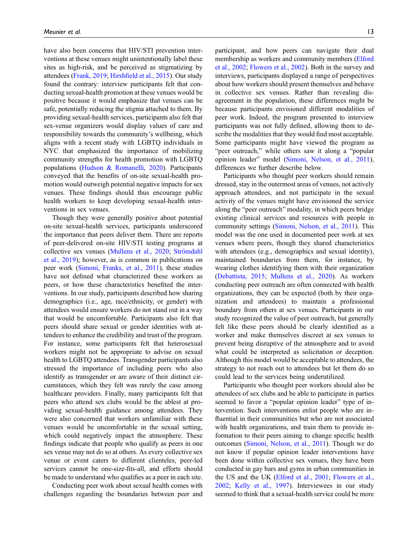have also been concerns that HIV/STI prevention interventions at these venues might unintentionally label these sites as high-risk, and be perceived as stigmatizing by attendees ([Frank, 2019;](#page-14-0) Hirshfi[eld et al., 2015\)](#page-14-4). Our study found the contrary: interview participants felt that conducting sexual-health promotion at these venues would be positive because it would emphasize that venues can be safe, potentially reducing the stigma attached to them. By providing sexual-health services, participants also felt that sex-venue organizers would display values of care and responsibility towards the community's wellbeing, which aligns with a recent study with LGBTQ individuals in NYC that emphasized the importance of mobilizing community strengths for health promotion with LGBTQ populations ([Hudson & Romanelli, 2020](#page-14-19)). Participants conveyed that the benefits of on-site sexual-health promotion would outweigh potential negative impacts for sex venues. These findings should thus encourage public health workers to keep developing sexual-health interventions in sex venues.

Though they were generally positive about potential on-site sexual-health services, participants underscored the importance that peers deliver them. There are reports of peer-delivered on-site HIV/STI testing programs at collective sex venues ([Mullens et al., 2020;](#page-15-4) Strömdahl [et al., 2019\)](#page-16-20); however, as is common in publications on peer work ([Simoni, Franks, et al., 2011](#page-16-15)), these studies have not defined what characterized these workers as peers, or how these characteristics benefited the interventions. In our study, participants described how sharing demographics (i.e., age, race/ethnicity, or gender) with attendees would ensure workers do not stand out in a way that would be uncomfortable. Participants also felt that peers should share sexual or gender identities with attendees to enhance the credibility and trust of the program. For instance, some participants felt that heterosexual workers might not be appropriate to advise on sexual health to LGBTQ attendees. Transgender participants also stressed the importance of including peers who also identify as transgender or are aware of their distinct circumstances, which they felt was rarely the case among healthcare providers. Finally, many participants felt that peers who attend sex clubs would be the ablest at providing sexual-health guidance among attendees. They were also concerned that workers unfamiliar with these venues would be uncomfortable in the sexual setting, which could negatively impact the atmosphere. These findings indicate that people who qualify as peers in one sex venue may not do so at others. As every collective sex venue or event caters to different clienteles, peer-led services cannot be one-size-fits-all, and efforts should be made to understand who qualifies as a peer in each site.

Conducting peer work about sexual health comes with challenges regarding the boundaries between peer and

participant, and how peers can navigate their dual membership as workers and community members ([Elford](#page-14-16) [et al., 2002](#page-14-16); [Flowers et al., 2002](#page-14-14)). Both in the survey and interviews, participants displayed a range of perspectives about how workers should present themselves and behave in collective sex venues. Rather than revealing disagreement in the population, these differences might be because participants envisioned different modalities of peer work. Indeed, the program presented to interview participants was not fully defined, allowing them to describe the modalities that they would find most acceptable. Some participants might have viewed the program as "peer outreach," while others saw it along a "popular opinion leader" model [\(Simoni, Nelson, et al., 2011](#page-16-17)), differences we further describe below.

Participants who thought peer workers should remain dressed, stay in the outermost areas of venues, not actively approach attendees, and not participate in the sexual activity of the venues might have envisioned the service along the "peer outreach" modality, in which peers bridge existing clinical services and resources with people in community settings [\(Simoni, Nelson, et al., 2011](#page-16-17)). This model was the one used in documented peer work at sex venues where peers, though they shared characteristics with attendees (e.g., demographics and sexual identity), maintained boundaries from them, for instance, by wearing clothes identifying them with their organization [\(Debattista, 2015;](#page-14-8) [Mullens et al., 2020](#page-15-4)). As workers conducting peer outreach are often connected with health organizations, they can be expected (both by their organization and attendees) to maintain a professional boundary from others at sex venues. Participants in our study recognized the value of peer outreach, but generally felt like these peers should be clearly identified as a worker and make themselves discreet at sex venues to prevent being disruptive of the atmosphere and to avoid what could be interpreted as solicitation or deception. Although this model would be acceptable to attendees, the strategy to not reach out to attendees but let them do so could lead to the services being underutilized.

Participants who thought peer workers should also be attendees of sex clubs and be able to participate in parties seemed to favor a "popular opinion leader" type of intervention. Such interventions enlist people who are influential in their communities but who are not associated with health organizations, and train them to provide information to their peers aiming to change specific health outcomes [\(Simoni, Nelson, et al., 2011\)](#page-16-17). Though we do not know if popular opinion leader interventions have been done within collective sex venues, they have been conducted in gay bars and gyms in urban communities in the US and the UK ([Elford et al., 2001](#page-14-13); [Flowers et al.,](#page-14-14) [2002;](#page-14-14) [Kelly et al., 1997](#page-14-15)). Interviewees in our study seemed to think that a sexual-health service could be more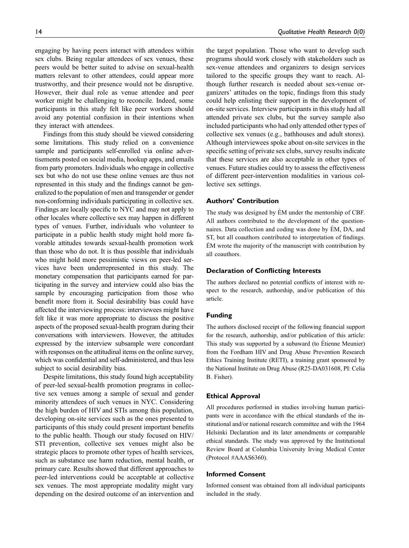engaging by having peers interact with attendees within sex clubs. Being regular attendees of sex venues, these peers would be better suited to advise on sexual-health matters relevant to other attendees, could appear more trustworthy, and their presence would not be disruptive. However, their dual role as venue attendee and peer

worker might be challenging to reconcile. Indeed, some participants in this study felt like peer workers should avoid any potential confusion in their intentions when they interact with attendees. Findings from this study should be viewed considering

some limitations. This study relied on a convenience sample and participants self-enrolled via online advertisements posted on social media, hookup apps, and emails from party promoters. Individuals who engage in collective sex but who do not use these online venues are thus not represented in this study and the findings cannot be generalized to the population of men and transgender or gender non-conforming individuals participating in collective sex. Findings are locally specific to NYC and may not apply to other locales where collective sex may happen in different types of venues. Further, individuals who volunteer to participate in a public health study might hold more favorable attitudes towards sexual-health promotion work than those who do not. It is thus possible that individuals who might hold more pessimistic views on peer-led services have been underrepresented in this study. The monetary compensation that participants earned for participating in the survey and interview could also bias the sample by encouraging participation from those who benefit more from it. Social desirability bias could have affected the interviewing process: interviewees might have felt like it was more appropriate to discuss the positive aspects of the proposed sexual-health program during their conversations with interviewers. However, the attitudes expressed by the interview subsample were concordant with responses on the attitudinal items on the online survey, which was confidential and self-administered, and thus less subject to social desirability bias.

Despite limitations, this study found high acceptability of peer-led sexual-health promotion programs in collective sex venues among a sample of sexual and gender minority attendees of such venues in NYC. Considering the high burden of HIV and STIs among this population, developing on-site services such as the ones presented to participants of this study could present important benefits to the public health. Though our study focused on HIV/ STI prevention, collective sex venues might also be strategic places to promote other types of health services, such as substance use harm reduction, mental health, or primary care. Results showed that different approaches to peer-led interventions could be acceptable at collective sex venues. The most appropriate modality might vary depending on the desired outcome of an intervention and the target population. Those who want to develop such programs should work closely with stakeholders such as sex-venue attendees and organizers to design services tailored to the specific groups they want to reach. Although further research is needed about sex-venue organizers' attitudes on the topic, findings from this study could help enlisting their support in the development of on-site services. Interview participants in this study had all attended private sex clubs, but the survey sample also included participants who had only attended other types of collective sex venues (e.g., bathhouses and adult stores). Although interviewees spoke about on-site services in the specific setting of private sex clubs, survey results indicate that these services are also acceptable in other types of venues. Future studies could try to assess the effectiveness of different peer-intervention modalities in various collective sex settings.

#### Authors' Contribution

The study was designed by ÉM under the mentorship of CBF. All authors contributed to the development of the questionnaires. Data collection and coding was done by EM, DA, and ´ ST, but all coauthors contributed to interpretation of findings. EM wrote the majority of the manuscript with contribution by ´ all coauthors.

#### Declaration of Conflicting Interests

The authors declared no potential conflicts of interest with respect to the research, authorship, and/or publication of this article.

#### Funding

The authors disclosed receipt of the following financial support for the research, authorship, and/or publication of this article: This study was supported by a subaward (to Étienne Meunier) from the Fordham HIV and Drug Abuse Prevention Research Ethics Training Institute (RETI), a training grant sponsored by the National Institute on Drug Abuse (R25-DA031608, PI: Celia B. Fisher).

#### Ethical Approval

All procedures performed in studies involving human participants were in accordance with the ethical standards of the institutional and/or national research committee and with the 1964 Helsinki Declaration and its later amendments or comparable ethical standards. The study was approved by the Institutional Review Board at Columbia University Irving Medical Center (Protocol #AAAS6360).

#### Informed Consent

Informed consent was obtained from all individual participants included in the study.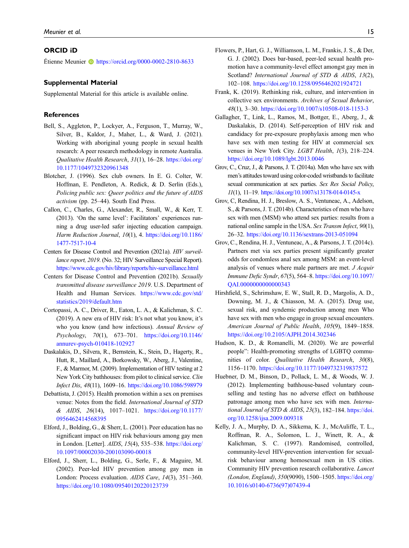#### ORCID iD

Etienne Meunier  $\bullet$  <https://orcid.org/0000-0002-2810-8633>

#### Supplemental Material

Supplemental Material for this article is available online.

#### **References**

- <span id="page-14-12"></span>Bell, S., Aggleton, P., Lockyer, A., Ferguson, T., Murray, W., Silver, B., Kaldor, J., Maher, L., & Ward, J. (2021). Working with aboriginal young people in sexual health research: A peer research methodology in remote Australia. Qualitative Health Research, 31(1), 16–28. [https://doi.org/](https://doi.org/10.1177/1049732320961348) [10.1177/1049732320961348](https://doi.org/10.1177/1049732320961348)
- <span id="page-14-17"></span>Blotcher, J. (1996). Sex club owners. In E. G. Colter, W. Hoffman, E. Pendleton, A. Redick, & D. Serlin (Eds.), Policing public sex: Queer politics and the future of AIDS activism (pp. 25–44). South End Press.
- <span id="page-14-11"></span>Callon, C., Charles, G., Alexander, R., Small, W., & Kerr, T. (2013). 'On the same level': Facilitators' experiences running a drug user-led safer injecting education campaign. Harm Reduction Journal, 10(1), 4. [https://doi.org/10.1186/](https://doi.org/10.1186/1477-7517-10-4) [1477-7517-10-4](https://doi.org/10.1186/1477-7517-10-4)
- <span id="page-14-1"></span>Centers for Disease Control and Prevention (2021a). HIV surveillance report, 2019. (No. 32; HIV Surveillance Special Report). <https://www.cdc.gov/hiv/library/reports/hiv-surveillance.html>
- <span id="page-14-2"></span>Centers for Disease Control and Prevention (2021b). Sexually transmitted disease surveillance 2019. U.S. Department of Health and Human Services. [https://www.cdc.gov/std/](https://www.cdc.gov/std/statistics/2019/default.htm) [statistics/2019/default.htm](https://www.cdc.gov/std/statistics/2019/default.htm)
- <span id="page-14-18"></span>Cortopassi, A. C., Driver, R., Eaton, L. A., & Kalichman, S. C. (2019). A new era of HIV risk: It's not what you know, it's who you know (and how infectious). Annual Review of Psychology, 70(1), 673–701. [https://doi.org/10.1146/](https://doi.org/10.1146/annurev-psych-010418-102927) [annurev-psych-010418-102927](https://doi.org/10.1146/annurev-psych-010418-102927)
- <span id="page-14-7"></span>Daskalakis, D., Silvera, R., Bernstein, K., Stein, D., Hagerty, R., Hutt, R., Maillard, A., Borkowsky, W., Aberg, J., Valentine, F., & Marmor, M. (2009). Implementation of HIV testing at 2 New York City bathhouses: from pilot to clinical service. Clin Infect Dis, 48(11), 1609–16. <https://doi.org/10.1086/598979>
- <span id="page-14-8"></span>Debattista, J. (2015). Health promotion within a sex on premises venue: Notes from the field. International Journal of STD & AIDS, 26(14), 1017–1021. [https://doi.org/10.1177/](https://doi.org/10.1177/0956462414568395) [0956462414568395](https://doi.org/10.1177/0956462414568395)
- <span id="page-14-13"></span>Elford, J., Bolding, G., & Sherr, L. (2001). Peer education has no significant impact on HIV risk behaviours among gay men in London. [Letter]. AIDS, 15(4), 535–538. [https://doi.org/](https://doi.org/10.1097/00002030-200103090-00018) [10.1097/00002030-200103090-00018](https://doi.org/10.1097/00002030-200103090-00018)
- <span id="page-14-16"></span>Elford, J., Sherr, L., Bolding, G., Serle, F., & Maguire, M. (2002). Peer-led HIV prevention among gay men in London: Process evaluation. AIDS Care, 14(3), 351–360. <https://doi.org/10.1080/09540120220123739>
- <span id="page-14-14"></span>Flowers, P., Hart, G. J., Williamson, L. M., Frankis, J. S., & Der, G. J. (2002). Does bar-based, peer-led sexual health promotion have a community-level effect amongst gay men in Scotland? International Journal of STD & AIDS, 13(2), 102–108. <https://doi.org/10.1258/0956462021924721>
- <span id="page-14-0"></span>Frank, K. (2019). Rethinking risk, culture, and intervention in collective sex environments. Archives of Sexual Behavior, 48(1), 3–30. <https://doi.org/10.1007/s10508-018-1153-3>
- <span id="page-14-9"></span>Gallagher, T., Link, L., Ramos, M., Bottger, E., Aberg, J., & Daskalakis, D. (2014). Self-perception of HIV risk and candidacy for pre-exposure prophylaxis among men who have sex with men testing for HIV at commercial sex venues in New York City. LGBT Health, 1(3), 218–224. <https://doi.org/10.1089/lgbt.2013.0046>
- <span id="page-14-6"></span>Grov, C., Cruz, J., & Parsons, J. T. (2014a). Men who have sex with men's attitudes toward using color-coded wristbands to facilitate sexual communication at sex parties. Sex Res Social Policy, 11(1), 11–19. <https://doi.org/10.1007/s13178-014-0145-x>
- <span id="page-14-5"></span>Grov, C, Rendina, H. J., Breslow, A. S., Ventuneac, A., Adelson, S., & Parsons, J. T. (2014b). Characteristics of men who have sex with men (MSM) who attend sex parties: results from a national online sample in the USA. Sex Transm Infect, 90(1), 26–32. <https://doi.org/10.1136/sextrans-2013-051094>
- <span id="page-14-3"></span>Grov, C., Rendina, H. J., Ventuneac, A., & Parsons, J. T. (2014c). Partners met via sex parties present significantly greater odds for condomless anal sex among MSM: an event-level analysis of venues where male partners are met. J Acquir Immune Defic Syndr, 67(5), 564–8. [https://doi.org/10.1097/](https://doi.org/10.1097/QAI.0000000000000343) [QAI.0000000000000343](https://doi.org/10.1097/QAI.0000000000000343)
- <span id="page-14-4"></span>Hirshfield, S., Schrimshaw, E. W., Stall, R. D., Margolis, A. D., Downing, M. J., & Chiasson, M. A. (2015). Drug use, sexual risk, and syndemic production among men Who have sex with men who engage in group sexual encounters. American Journal of Public Health, 105(9), 1849–1858. <https://doi.org/10.2105/AJPH.2014.302346>
- <span id="page-14-19"></span>Hudson, K. D., & Romanelli, M. (2020). We are powerful people": Health-promoting strengths of LGBTQ communities of color. Qualitative Health Research, 30(8), 1156–1170. <https://doi.org/10.1177/1049732319837572>
- <span id="page-14-10"></span>Huebner, D. M., Binson, D., Pollack, L. M., & Woods, W. J. (2012). Implementing bathhouse-based voluntary counselling and testing has no adverse effect on bathhouse patronage among men who have sex with men. International Journal of STD & AIDS, 23(3), 182-184. [https://doi.](https://doi.org/10.1258/ijsa.2009.009318) [org/10.1258/ijsa.2009.009318](https://doi.org/10.1258/ijsa.2009.009318)
- <span id="page-14-15"></span>Kelly, J. A., Murphy, D. A., Sikkema, K. J., McAuliffe, T. L., Roffman, R. A., Solomon, L. J., Winett, R. A., & Kalichman, S. C. (1997). Randomised, controlled, community-level HIV-prevention intervention for sexualrisk behaviour among homosexual men in US cities. Community HIV prevention research collaborative. Lancet (London, England), 350(9090), 1500–1505. [https://doi.org/](https://doi.org/10.1016/s0140-6736(97)07439-4) [10.1016/s0140-6736\(97\)07439-4](https://doi.org/10.1016/s0140-6736(97)07439-4)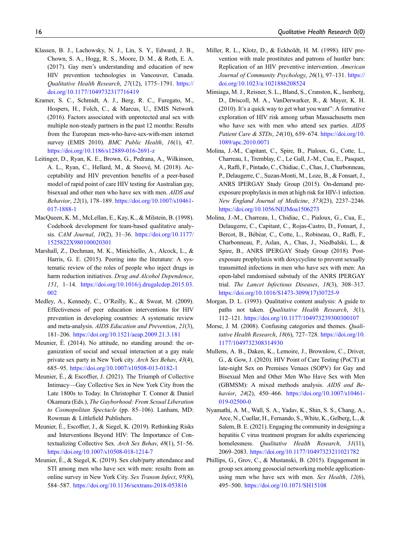- <span id="page-15-18"></span>Klassen, B. J., Lachowsky, N. J., Lin, S. Y., Edward, J. B., Chown, S. A., Hogg, R. S., Moore, D. M., & Roth, E. A. (2017). Gay men's understanding and education of new HIV prevention technologies in Vancouver, Canada. Qualitative Health Research, 27(12), 1775–1791. [https://](https://doi.org/10.1177/1049732317716419) [doi.org/10.1177/1049732317716419](https://doi.org/10.1177/1049732317716419)
- <span id="page-15-1"></span>Kramer, S. C., Schmidt, A. J., Berg, R. C., Furegato, M., Hospers, H., Folch, C., & Marcus, U., EMIS Network (2016). Factors associated with unprotected anal sex with multiple non-steady partners in the past 12 months: Results from the European men-who-have-sex-with-men internet survey (EMIS 2010). *BMC Public Health*, 16(1), 47. <https://doi.org/10.1186/s12889-016-2691-z>
- <span id="page-15-7"></span>Leitinger, D., Ryan, K. E., Brown, G., Pedrana, A., Wilkinson, A. L., Ryan, C., Hellard, M., & Stoové, M. (2018). Acceptability and HIV prevention benefits of a peer-based model of rapid point of care HIV testing for Australian gay, bisexual and other men who have sex with men. AIDS and Behavior, 22(1), 178–189. [https://doi.org/10.1007/s10461-](https://doi.org/10.1007/s10461-017-1888-1) [017-1888-1](https://doi.org/10.1007/s10461-017-1888-1)
- <span id="page-15-13"></span>MacQueen, K. M., McLellan, E., Kay, K., & Milstein, B. (1998). Codebook development for team-based qualitative analysis. CAM Journal, 10(2), 31–36. [https://doi.org/10.1177/](https://doi.org/10.1177/1525822X980100020301) [1525822X980100020301](https://doi.org/10.1177/1525822X980100020301)
- <span id="page-15-8"></span>Marshall, Z., Dechman, M. K., Minichiello, A., Alcock, L., & Harris, G. E. (2015). Peering into the literature: A systematic review of the roles of people who inject drugs in harm reduction initiatives. Drug and Alcohol Dependence, 151, 1–14. [https://doi.org/10.1016/j.drugalcdep.2015.03.](https://doi.org/10.1016/j.drugalcdep.2015.03.002) [002](https://doi.org/10.1016/j.drugalcdep.2015.03.002)
- <span id="page-15-6"></span>Medley, A., Kennedy, C., O'Reilly, K., & Sweat, M. (2009). Effectiveness of peer education interventions for HIV prevention in developing countries: A systematic review and meta-analysis. AIDS Education and Prevention, 21(3), 181–206. <https://doi.org/10.1521/aeap.2009.21.3.181>
- <span id="page-15-12"></span>Meunier, E. (2014). No attitude, no standing around: the organization of social and sexual interaction at a gay male private sex party in New York city. Arch Sex Behav, 43(4), 685–95. <https://doi.org/10.1007/s10508-013-0182-1>
- <span id="page-15-11"></span>Meunier, É., & Escoffier, J. (2021). The Triumph of Collective Intimacy—Gay Collective Sex in New York City from the Late 1800s to Today. In Christopher T. Conner & Daniel Okamura (Eds.), The Gayborhood: From Sexual Liberation to Cosmopolitan Spectacle (pp. 85–106). Lanham, MD: Rowman & Littlefield Publishers.
- <span id="page-15-0"></span>Meunier, E., Escoffier, J., & Siegel, K. (2019). Rethinking Risks and Interventions Beyond HIV: The Importance of Contextualizing Collective Sex. Arch Sex Behav, 48(1), 51–56. <https://doi.org/10.1007/s10508-018-1214-7>
- <span id="page-15-2"></span>Meunier, É., & Siegel, K. (2019). Sex club/party attendance and STI among men who have sex with men: results from an online survey in New York City. Sex Transm Infect, 95(8), 584–587. <https://doi.org/10.1136/sextrans-2018-053816>
- <span id="page-15-10"></span>Miller, R. L., Klotz, D., & Eckholdt, H. M. (1998). HIV prevention with male prostitutes and patrons of hustler bars: Replication of an HIV preventive intervention. American Journal of Community Psychology, 26(1), 97-131. [https://](https://doi.org/10.1023/a:1021886208524) [doi.org/10.1023/a:1021886208524](https://doi.org/10.1023/a:1021886208524)
- <span id="page-15-5"></span>Mimiaga, M. J., Reisner, S. L., Bland, S., Cranston, K., Isenberg, D., Driscoll, M. A., VanDerwarker, R., & Mayer, K. H. (2010). It's a quick way to get what you want": A formative exploration of HIV risk among urban Massachusetts men who have sex with men who attend sex parties. AIDS Patient Care & STDs, 24(10), 659–674. [https://doi.org/10.](https://doi.org/10.1089/apc.2010.0071) [1089/apc.2010.0071](https://doi.org/10.1089/apc.2010.0071)
- <span id="page-15-16"></span>Molina, J.-M., Capitant, C., Spire, B., Pialoux, G., Cotte, L., Charreau, I., Tremblay, C., Le Gall, J.-M., Cua, E., Pasquet, A., Raffi, F., Pintado, C., Chidiac, C., Chas, J., Charbonneau, P., Delaugerre, C., Suzan-Monti, M., Loze, B., & Fonsart, J., ANRS IPERGAY Study Group (2015). On-demand preexposure prophylaxis in men at high risk for HIV-1 infection. New England Journal of Medicine, 373(23), 2237–2246. <https://doi.org/10.1056/NEJMoa1506273>
- <span id="page-15-17"></span>Molina, J.-M., Charreau, I., Chidiac, C., Pialoux, G., Cua, E., Delaugerre, C., Capitant, C., Rojas-Castro, D., Fonsart, J., Bercot, B., Bébéar, C., Cotte, L., Robineau, O., Raffi, F., Charbonneau, P., Aslan, A., Chas, J., Niedbalski, L., & Spire, B., ANRS IPERGAY Study Group (2018). Postexposure prophylaxis with doxycycline to prevent sexually transmitted infections in men who have sex with men: An open-label randomised substudy of the ANRS IPERGAY trial. The Lancet Infectious Diseases, 18(3), 308–317. [https://doi.org/10.1016/S1473-3099\(17\)30725-9](https://doi.org/10.1016/S1473-3099(17)30725-9)
- <span id="page-15-14"></span>Morgan, D. L. (1993). Qualitative content analysis: A guide to paths not taken. Qualitative Health Research, 3(1), 112–121. <https://doi.org/10.1177/104973239300300107>
- <span id="page-15-15"></span>Morse, J. M. (2008). Confusing categories and themes. Qualitative Health Research, 18(6), 727–728. [https://doi.org/10.](https://doi.org/10.1177/1049732308314930) [1177/1049732308314930](https://doi.org/10.1177/1049732308314930)
- <span id="page-15-4"></span>Mullens, A. B., Daken, K., Lemoire, J., Brownlow, C., Driver, G., & Gow, J. (2020). HIV Point of Care Testing (PoCT) at late-night Sex on Premises Venues (SOPV) for Gay and Bisexual Men and Other Men Who Have Sex with Men (GBMSM): A mixed methods analysis. AIDS and Behavior, 24(2), 450-466. [https://doi.org/10.1007/s10461-](https://doi.org/10.1007/s10461-019-02500-0) [019-02500-0](https://doi.org/10.1007/s10461-019-02500-0)
- <span id="page-15-9"></span>Nyamathi, A. M., Wall, S. A., Yadav, K., Shin, S. S., Chang, A., Arce, N., Cuellar, H., Fernando, S., White, K., Gelberg, L., & Salem, B. E. (2021). Engaging the community in designing a hepatitis C virus treatment program for adults experiencing homelessness. Qualitative Health Research, 31(11), 2069–2083. <https://doi.org/10.1177/10497323211021782>
- <span id="page-15-3"></span>Phillips, G., Grov, C., & Mustanski, B. (2015). Engagement in group sex among geosocial networking mobile applicationusing men who have sex with men. Sex Health, 12(6), 495–500. <https://doi.org/10.1071/SH15108>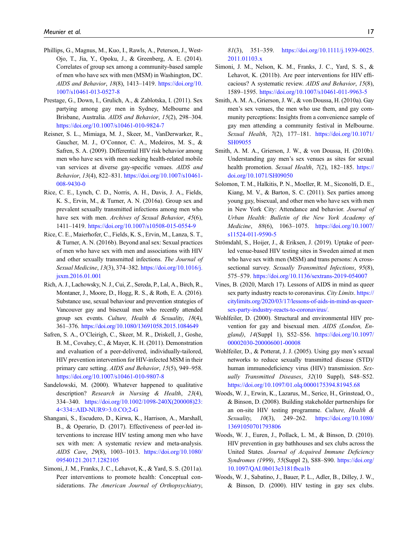- <span id="page-16-0"></span>Phillips, G., Magnus, M., Kuo, I., Rawls, A., Peterson, J., West-Ojo, T., Jia, Y., Opoku, J., & Greenberg, A. E. (2014). Correlates of group sex among a community-based sample of men who have sex with men (MSM) in Washington, DC. AIDS and Behavior, 18(8), 1413–1419. [https://doi.org/10.](https://doi.org/10.1007/s10461-013-0527-8) [1007/s10461-013-0527-8](https://doi.org/10.1007/s10461-013-0527-8)
- <span id="page-16-1"></span>Prestage, G., Down, I., Grulich, A., & Zablotska, I. (2011). Sex partying among gay men in Sydney, Melbourne and Brisbane, Australia. AIDS and Behavior, 15(2), 298–304. <https://doi.org/10.1007/s10461-010-9824-7>
- <span id="page-16-2"></span>Reisner, S. L., Mimiaga, M. J., Skeer, M., VanDerwarker, R., Gaucher, M. J., O'Connor, C. A., Medeiros, M. S., & Safren, S. A. (2009). Differential HIV risk behavior among men who have sex with men seeking health-related mobile van services at diverse gay-specific venues. AIDS and Behavior, 13(4), 822–831. [https://doi.org/10.1007/s10461-](https://doi.org/10.1007/s10461-008-9430-0) [008-9430-0](https://doi.org/10.1007/s10461-008-9430-0)
- <span id="page-16-3"></span>Rice, C. E., Lynch, C. D., Norris, A. H., Davis, J. A., Fields, K. S., Ervin, M., & Turner, A. N. (2016a). Group sex and prevalent sexually transmitted infections among men who have sex with men. Archives of Sexual Behavior, 45(6), 1411–1419. <https://doi.org/10.1007/s10508-015-0554-9>
- <span id="page-16-4"></span>Rice, C. E., Maierhofer, C., Fields, K. S., Ervin, M., Lanza, S. T., & Turner, A. N. (2016b). Beyond anal sex: Sexual practices of men who have sex with men and associations with HIV and other sexually transmitted infections. The Journal of Sexual Medicine, 13(3), 374–382. [https://doi.org/10.1016/j.](https://doi.org/10.1016/j.jsxm.2016.01.001) [jsxm.2016.01.001](https://doi.org/10.1016/j.jsxm.2016.01.001)
- <span id="page-16-5"></span>Rich, A. J., Lachowsky, N. J., Cui, Z., Sereda, P., Lal, A., Birch, R., Montaner, J., Moore, D., Hogg, R. S., & Roth, E. A. (2016). Substance use, sexual behaviour and prevention strategies of Vancouver gay and bisexual men who recently attended group sex events. Culture, Health & Sexuality, 18(4), 361–376. <https://doi.org/10.1080/13691058.2015.1084649>
- <span id="page-16-16"></span>Safren, S. A., O'Cleirigh, C., Skeer, M. R., Driskell, J., Goshe, B. M., Covahey, C., & Mayer, K. H. (2011). Demonstration and evaluation of a peer-delivered, individually-tailored, HIV prevention intervention for HIV-infected MSM in their primary care setting. AIDS and Behavior, 15(5), 949–958. <https://doi.org/10.1007/s10461-010-9807-8>
- <span id="page-16-19"></span>Sandelowski, M. (2000). Whatever happened to qualitative description? Research in Nursing & Health, 23(4), 334–340. [https://doi.org/10.1002/1098-240X\(200008\)23:](https://doi.org/10.1002/1098-240X(200008)23:4<334::AID-NUR9>3.0.CO;2-G) [4<334::AID-NUR9>3.0.CO;2-G](https://doi.org/10.1002/1098-240X(200008)23:4<334::AID-NUR9>3.0.CO;2-G)
- <span id="page-16-18"></span>Shangani, S., Escudero, D., Kirwa, K., Harrison, A., Marshall, B., & Operario, D. (2017). Effectiveness of peer-led interventions to increase HIV testing among men who have sex with men: A systematic review and meta-analysis. AIDS Care, 29(8), 1003–1013. [https://doi.org/10.1080/](https://doi.org/10.1080/09540121.2017.1282105) [09540121.2017.1282105](https://doi.org/10.1080/09540121.2017.1282105)
- <span id="page-16-15"></span>Simoni, J. M., Franks, J. C., Lehavot, K., & Yard, S. S. (2011a). Peer interventions to promote health: Conceptual considerations. The American Journal of Orthopsychiatry,

81(3), 351–359. [https://doi.org/10.1111/j.1939-0025.](https://doi.org/10.1111/j.1939-0025.2011.01103.x) [2011.01103.x](https://doi.org/10.1111/j.1939-0025.2011.01103.x)

- <span id="page-16-17"></span>Simoni, J. M., Nelson, K. M., Franks, J. C., Yard, S. S., & Lehavot, K. (2011b). Are peer interventions for HIV efficacious? A systematic review. AIDS and Behavior, 15(8), 1589–1595. <https://doi.org/10.1007/s10461-011-9963-5>
- <span id="page-16-6"></span>Smith, A. M. A., Grierson, J. W., & von Doussa, H. (2010a). Gay men's sex venues, the men who use them, and gay community perceptions: Insights from a convenience sample of gay men attending a community festival in Melbourne. Sexual Health, 7(2), 177–181. [https://doi.org/10.1071/](https://doi.org/10.1071/SH09055) [SH09055](https://doi.org/10.1071/SH09055)
- <span id="page-16-10"></span>Smith, A. M. A., Grierson, J. W., & von Doussa, H. (2010b). Understanding gay men's sex venues as sites for sexual health promotion. Sexual Health, 7(2), 182-185. [https://](https://doi.org/10.1071/SH09050) [doi.org/10.1071/SH09050](https://doi.org/10.1071/SH09050)
- <span id="page-16-7"></span>Solomon, T. M., Halkitis, P. N., Moeller, R. M., Siconolfi, D. E., Kiang, M. V., & Barton, S. C. (2011). Sex parties among young gay, bisexual, and other men who have sex with men in New York City: Attendance and behavior. Journal of Urban Health: Bulletin of the New York Academy of Medicine, 88(6), 1063–1075. [https://doi.org/10.1007/](https://doi.org/10.1007/s11524-011-9590-5) [s11524-011-9590-5](https://doi.org/10.1007/s11524-011-9590-5)
- <span id="page-16-20"></span>Strömdahl, S., Hoijer, J., & Eriksen, J. (2019). Uptake of peerled venue-based HIV testing sites in Sweden aimed at men who have sex with men (MSM) and trans persons: A crosssectional survey. Sexually Transmitted Infections, 95(8), 575–579. <https://doi.org/10.1136/sextrans-2019-054007>
- <span id="page-16-9"></span>Vines, B. (2020, March 17). Lessons of AIDS in mind as queer sex party industry reacts to coronavirus. City Limits. [https://](https://citylimits.org/2020/03/17/lessons-of-aids-in-mind-as-queer-sex-party-industry-reacts-to-coronavirus/) [citylimits.org/2020/03/17/lessons-of-aids-in-mind-as-queer](https://citylimits.org/2020/03/17/lessons-of-aids-in-mind-as-queer-sex-party-industry-reacts-to-coronavirus/)[sex-party-industry-reacts-to-coronavirus/.](https://citylimits.org/2020/03/17/lessons-of-aids-in-mind-as-queer-sex-party-industry-reacts-to-coronavirus/)
- <span id="page-16-12"></span>Wohlfeiler, D. (2000). Structural and environmental HIV prevention for gay and bisexual men. AIDS (London, England), 14(Suppl 1), S52–S56. [https://doi.org/10.1097/](https://doi.org/10.1097/00002030-200006001-00008) [00002030-200006001-00008](https://doi.org/10.1097/00002030-200006001-00008)
- <span id="page-16-13"></span>Wohlfeiler, D., & Potterat, J. J. (2005). Using gay men's sexual networks to reduce sexually transmitted disease (STD)/ human immunodeficiency virus (HIV) transmission. Sexually Transmitted Diseases, 32(10 Suppl), S48–S52. <https://doi.org/10.1097/01.olq.0000175394.81945.68>
- <span id="page-16-14"></span>Woods, W. J., Erwin, K., Lazarus, M., Serice, H., Grinstead, O., & Binson, D. (2008). Building stakeholder partnerships for an on-site HIV testing programme. Culture, Health & Sexuality, 10(3), 249–262. [https://doi.org/10.1080/](https://doi.org/10.1080/13691050701793806) [13691050701793806](https://doi.org/10.1080/13691050701793806)
- <span id="page-16-11"></span>Woods, W. J., Euren, J., Pollack, L. M., & Binson, D. (2010). HIV prevention in gay bathhouses and sex clubs across the United States. Journal of Acquired Immune Deficiency Syndromes (1999), 55(Suppl 2), S88-S90. [https://doi.org/](https://doi.org/10.1097/QAI.0b013e3181fbca1b) [10.1097/QAI.0b013e3181fbca1b](https://doi.org/10.1097/QAI.0b013e3181fbca1b)
- <span id="page-16-8"></span>Woods, W. J., Sabatino, J., Bauer, P. L., Adler, B., Dilley, J. W., & Binson, D. (2000). HIV testing in gay sex clubs.